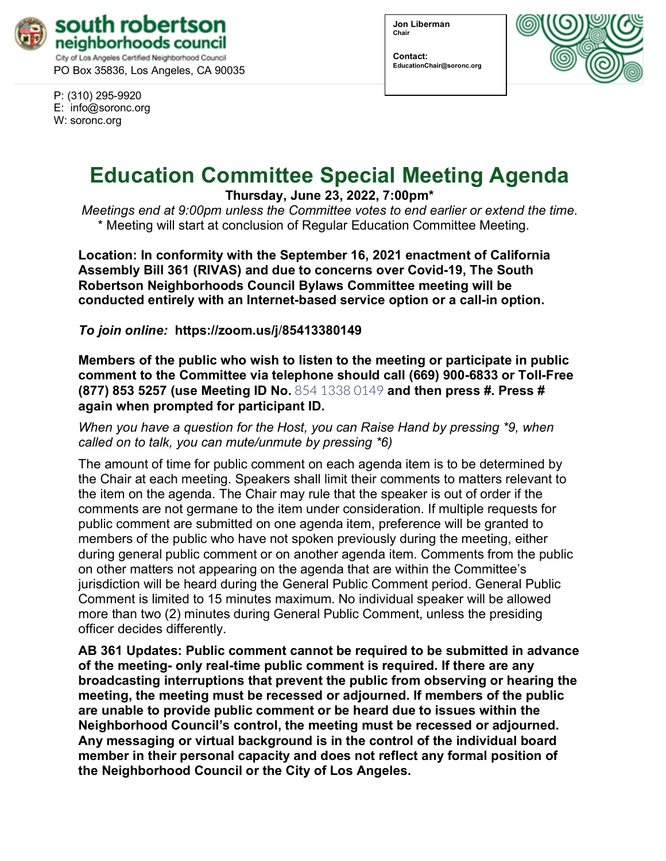

PO Box 35836, Los Angeles, CA 90035

P: (310) 295-9920 E: [info@soronc.org](about:blank) W: soronc.org

**Jon Liberman Chair**

**Contact: EducationChair@soronc.org**



## **Education Committee Special Meeting Agenda**

**Thursday, June 23, 2022, 7:00pm\***

*Meetings end at 9:00pm unless the Committee votes to end earlier or extend the time.* \* Meeting will start at conclusion of Regular Education Committee Meeting.

**Location: In conformity with the September 16, 2021 enactment of California Assembly Bill 361 (RIVAS) and due to concerns over Covid-19, The South Robertson Neighborhoods Council Bylaws Committee meeting will be conducted entirely with an Internet-based service option or a call-in option.** 

*To join online:* **[https://zoom.us/j](about:blank)**/**85413380149**

**Members of the public who wish to listen to the meeting or participate in public comment to the Committee via telephone should call (669) 900-6833 or Toll-Free (877) 853 5257 (use Meeting ID No.** 854 1338 0149 **and then press #. Press # again when prompted for participant ID.**

*When you have a question for the Host, you can Raise Hand by pressing \*9, when called on to talk, you can mute/unmute by pressing \*6)* 

The amount of time for public comment on each agenda item is to be determined by the Chair at each meeting. Speakers shall limit their comments to matters relevant to the item on the agenda. The Chair may rule that the speaker is out of order if the comments are not germane to the item under consideration. If multiple requests for public comment are submitted on one agenda item, preference will be granted to members of the public who have not spoken previously during the meeting, either during general public comment or on another agenda item. Comments from the public on other matters not appearing on the agenda that are within the Committee's jurisdiction will be heard during the General Public Comment period. General Public Comment is limited to 15 minutes maximum. No individual speaker will be allowed more than two (2) minutes during General Public Comment, unless the presiding officer decides differently.

**AB 361 Updates: Public comment cannot be required to be submitted in advance of the meeting- only real-time public comment is required. If there are any broadcasting interruptions that prevent the public from observing or hearing the meeting, the meeting must be recessed or adjourned. If members of the public are unable to provide public comment or be heard due to issues within the Neighborhood Council's control, the meeting must be recessed or adjourned. Any messaging or virtual background is in the control of the individual board member in their personal capacity and does not reflect any formal position of the Neighborhood Council or the City of Los Angeles.**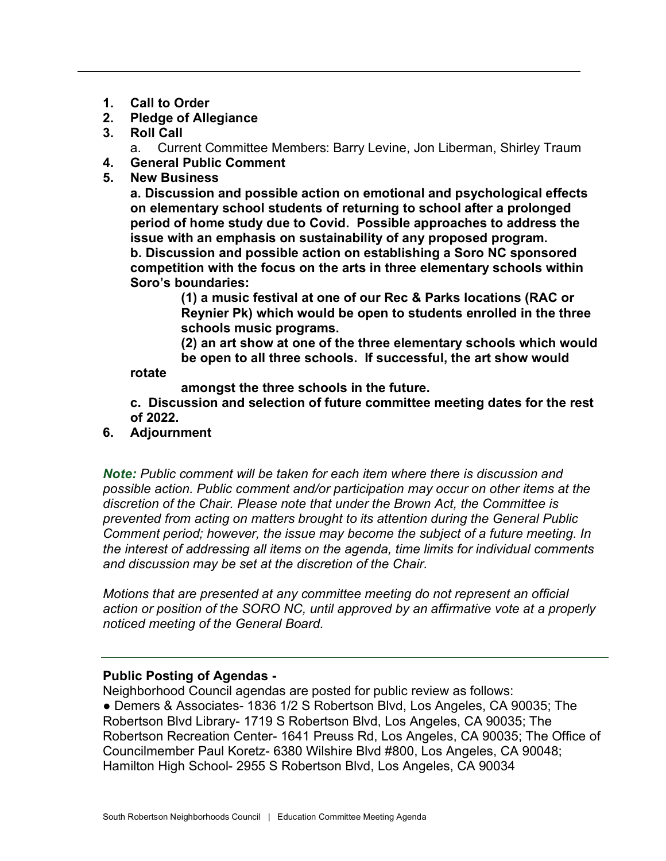- **1. Call to Order**
- **2. Pledge of Allegiance**
- **3. Roll Call**

a. Current Committee Members: Barry Levine, Jon Liberman, Shirley Traum

- **4. General Public Comment**
- **5. New Business**

**a. Discussion and possible action on emotional and psychological effects on elementary school students of returning to school after a prolonged period of home study due to Covid. Possible approaches to address the issue with an emphasis on sustainability of any proposed program. b. Discussion and possible action on establishing a Soro NC sponsored competition with the focus on the arts in three elementary schools within Soro's boundaries:** 

 **(1) a music festival at one of our Rec & Parks locations (RAC or Reynier Pk) which would be open to students enrolled in the three schools music programs.**

 **(2) an art show at one of the three elementary schools which would be open to all three schools. If successful, the art show would** 

**rotate** 

 **amongst the three schools in the future.**

**c. Discussion and selection of future committee meeting dates for the rest of 2022.**

**6. Adjournment**

*Note: Public comment will be taken for each item where there is discussion and possible action. Public comment and/or participation may occur on other items at the discretion of the Chair. Please note that under the Brown Act, the Committee is prevented from acting on matters brought to its attention during the General Public Comment period; however, the issue may become the subject of a future meeting. In the interest of addressing all items on the agenda, time limits for individual comments and discussion may be set at the discretion of the Chair.*

*Motions that are presented at any committee meeting do not represent an official action or position of the SORO NC, until approved by an affirmative vote at a properly noticed meeting of the General Board.*

## **Public Posting of Agendas -**

Neighborhood Council agendas are posted for public review as follows: ● Demers & Associates- 1836 1/2 S Robertson Blvd, Los Angeles, CA 90035; The Robertson Blvd Library- 1719 S Robertson Blvd, Los Angeles, CA 90035; The Robertson Recreation Center- 1641 Preuss Rd, Los Angeles, CA 90035; The Office of Councilmember Paul Koretz- 6380 Wilshire Blvd #800, Los Angeles, CA 90048; Hamilton High School- 2955 S Robertson Blvd, Los Angeles, CA 90034